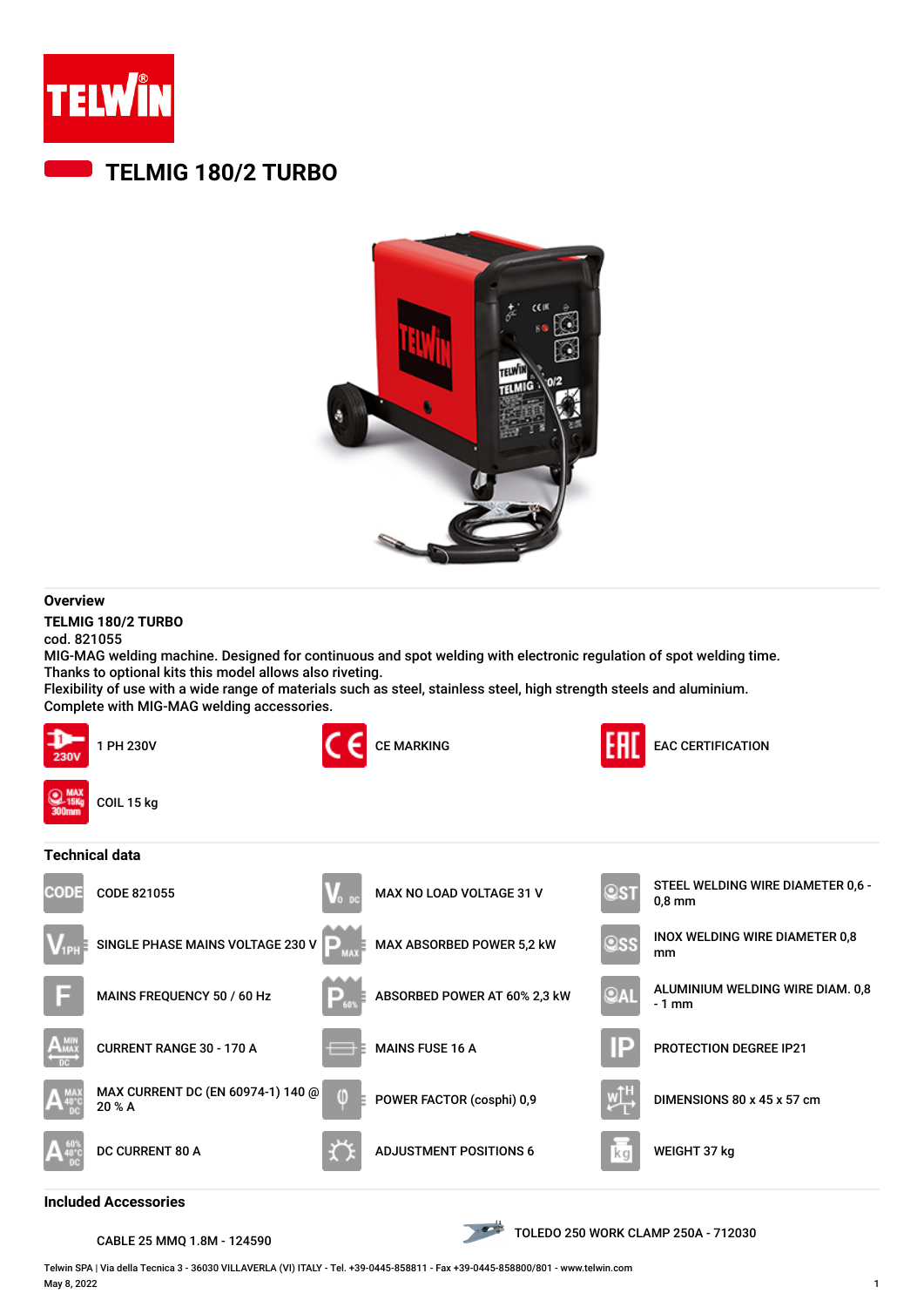

## **TELMIG 180/2 TURBO**



## **Overview**

**TELMIG 180/2 TURBO** cod. 821055

MIG-MAG welding machine. Designed for continuous and spot welding with electronic regulation of spot welding time. Thanks to optional kits this model allows also riveting.

Flexibility of use with a wide range of materials such as steel, stainless steel, high strength steels and aluminium. Complete with MIG-MAG welding accessories.



### **Included Accessories**

CABLE 25 MMQ 1.8M - 124590